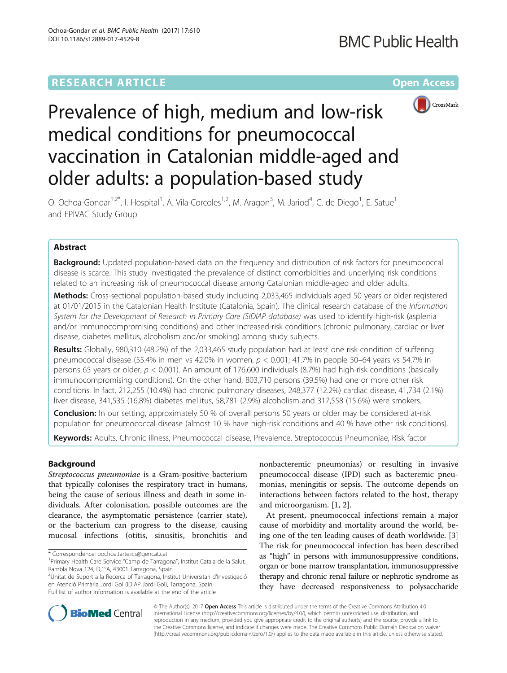# **RESEARCH ARTICLE Example 2014 12:30 The Contract of Contract ACCESS**



# Prevalence of high, medium and low-risk medical conditions for pneumococcal vaccination in Catalonian middle-aged and older adults: a population-based study

O. Ochoa-Gondar<sup>1,2\*</sup>, I. Hospital<sup>1</sup>, A. Vila-Corcoles<sup>1,2</sup>, M. Aragon<sup>3</sup>, M. Jariod<sup>4</sup>, C. de Diego<sup>1</sup>, E. Satue<sup>1</sup> and EPIVAC Study Group

# Abstract

**Background:** Updated population-based data on the frequency and distribution of risk factors for pneumococcal disease is scarce. This study investigated the prevalence of distinct comorbidities and underlying risk conditions related to an increasing risk of pneumococcal disease among Catalonian middle-aged and older adults.

Methods: Cross-sectional population-based study including 2,033,465 individuals aged 50 years or older registered at 01/01/2015 in the Catalonian Health Institute (Catalonia, Spain). The clinical research database of the Information System for the Development of Research in Primary Care (SIDIAP database) was used to identify high-risk (asplenia and/or immunocompromising conditions) and other increased-risk conditions (chronic pulmonary, cardiac or liver disease, diabetes mellitus, alcoholism and/or smoking) among study subjects.

Results: Globally, 980,310 (48.2%) of the 2,033,465 study population had at least one risk condition of suffering pneumococcal disease (55.4% in men vs 42.0% in women,  $p < 0.001$ ; 41.7% in people 50–64 years vs 54.7% in persons 65 years or older, p < 0.001). An amount of 176,600 individuals (8.7%) had high-risk conditions (basically immunocompromising conditions). On the other hand, 803,710 persons (39.5%) had one or more other risk conditions. In fact, 212,255 (10.4%) had chronic pulmonary diseases, 248,377 (12.2%) cardiac disease, 41,734 (2.1%) liver disease, 341,535 (16.8%) diabetes mellitus, 58,781 (2.9%) alcoholism and 317,558 (15.6%) were smokers.

Conclusion: In our setting, approximately 50 % of overall persons 50 years or older may be considered at-risk population for pneumococcal disease (almost 10 % have high-risk conditions and 40 % have other risk conditions).

Keywords: Adults, Chronic illness, Pneumococcal disease, Prevalence, Streptococcus Pneumoniae, Risk factor

# Background

Streptococcus pneumoniae is a Gram-positive bacterium that typically colonises the respiratory tract in humans, being the cause of serious illness and death in some individuals. After colonisation, possible outcomes are the clearance, the asymptomatic persistence (carrier state), or the bacterium can progress to the disease, causing mucosal infections (otitis, sinusitis, bronchitis and

2 Unitat de Suport a la Recerca of Tarragona, Institut Universitari d'Investigació en Atenció Primària Jordi Gol (IDIAP Jordi Gol), Tarragona, Spain Full list of author information is available at the end of the article

nonbacteremic pneumonias) or resulting in invasive pneumococcal disease (IPD) such as bacteremic pneumonias, meningitis or sepsis. The outcome depends on interactions between factors related to the host, therapy and microorganism. [[1, 2\]](#page-6-0).

At present, pneumococcal infections remain a major cause of morbidity and mortality around the world, being one of the ten leading causes of death worldwide. [\[3](#page-6-0)] The risk for pneumococcal infection has been described as "high" in persons with immunosuppressive conditions, organ or bone marrow transplantation, immunosuppressive therapy and chronic renal failure or nephrotic syndrome as they have decreased responsiveness to polysaccharide



© The Author(s). 2017 **Open Access** This article is distributed under the terms of the Creative Commons Attribution 4.0 International License [\(http://creativecommons.org/licenses/by/4.0/](http://creativecommons.org/licenses/by/4.0/)), which permits unrestricted use, distribution, and reproduction in any medium, provided you give appropriate credit to the original author(s) and the source, provide a link to the Creative Commons license, and indicate if changes were made. The Creative Commons Public Domain Dedication waiver [\(http://creativecommons.org/publicdomain/zero/1.0/](http://creativecommons.org/publicdomain/zero/1.0/)) applies to the data made available in this article, unless otherwise stated.

<sup>\*</sup> Correspondence: [oochoa.tarte.ics@gencat.cat](mailto:oochoa.tarte.ics@gencat.cat) <sup>1</sup>

<sup>&</sup>lt;sup>1</sup> Primary Health Care Service "Camp de Tarragona", Institut Catala de la Salut, Rambla Nova 124, D,1°A, 43001 Tarragona, Spain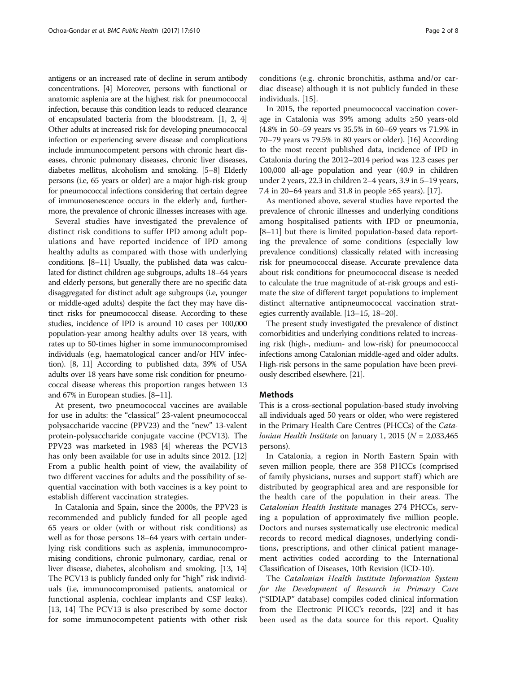antigens or an increased rate of decline in serum antibody concentrations. [\[4\]](#page-6-0) Moreover, persons with functional or anatomic asplenia are at the highest risk for pneumococcal infection, because this condition leads to reduced clearance of encapsulated bacteria from the bloodstream. [[1](#page-6-0), [2, 4](#page-6-0)] Other adults at increased risk for developing pneumococcal infection or experiencing severe disease and complications include immunocompetent persons with chronic heart diseases, chronic pulmonary diseases, chronic liver diseases, diabetes mellitus, alcoholism and smoking. [\[5](#page-6-0)–[8\]](#page-6-0) Elderly persons (i.e, 65 years or older) are a major high-risk group for pneumococcal infections considering that certain degree of immunosenescence occurs in the elderly and, furthermore, the prevalence of chronic illnesses increases with age.

Several studies have investigated the prevalence of distinct risk conditions to suffer IPD among adult populations and have reported incidence of IPD among healthy adults as compared with those with underlying conditions. [[8](#page-6-0)–[11\]](#page-6-0) Usually, the published data was calculated for distinct children age subgroups, adults 18–64 years and elderly persons, but generally there are no specific data disaggregated for distinct adult age subgroups (i.e, younger or middle-aged adults) despite the fact they may have distinct risks for pneumococcal disease. According to these studies, incidence of IPD is around 10 cases per 100,000 population-year among healthy adults over 18 years, with rates up to 50-times higher in some immunocompromised individuals (e.g, haematological cancer and/or HIV infection). [\[8, 11](#page-6-0)] According to published data, 39% of USA adults over 18 years have some risk condition for pneumococcal disease whereas this proportion ranges between 13 and 67% in European studies. [\[8](#page-6-0)–[11](#page-6-0)].

At present, two pneumococcal vaccines are available for use in adults: the "classical" 23-valent pneumococcal polysaccharide vaccine (PPV23) and the "new" 13-valent protein-polysaccharide conjugate vaccine (PCV13). The PPV23 was marketed in 1983 [[4\]](#page-6-0) whereas the PCV13 has only been available for use in adults since 2012. [[12](#page-6-0)] From a public health point of view, the availability of two different vaccines for adults and the possibility of sequential vaccination with both vaccines is a key point to establish different vaccination strategies.

In Catalonia and Spain, since the 2000s, the PPV23 is recommended and publicly funded for all people aged 65 years or older (with or without risk conditions) as well as for those persons 18–64 years with certain underlying risk conditions such as asplenia, immunocompromising conditions, chronic pulmonary, cardiac, renal or liver disease, diabetes, alcoholism and smoking. [[13](#page-6-0), [14](#page-6-0)] The PCV13 is publicly funded only for "high" risk individuals (i.e, immunocompromised patients, anatomical or functional asplenia, cochlear implants and CSF leaks). [[13, 14](#page-6-0)] The PCV13 is also prescribed by some doctor for some immunocompetent patients with other risk conditions (e.g. chronic bronchitis, asthma and/or cardiac disease) although it is not publicly funded in these individuals. [\[15](#page-6-0)].

In 2015, the reported pneumococcal vaccination coverage in Catalonia was 39% among adults ≥50 years-old (4.8% in 50–59 years vs 35.5% in 60–69 years vs 71.9% in 70–79 years vs 79.5% in 80 years or older). [\[16](#page-6-0)] According to the most recent published data, incidence of IPD in Catalonia during the 2012–2014 period was 12.3 cases per 100,000 all-age population and year (40.9 in children under 2 years, 22.3 in children 2–4 years, 3.9 in 5–19 years, 7.4 in 20–64 years and 31.8 in people ≥65 years). [[17](#page-6-0)].

As mentioned above, several studies have reported the prevalence of chronic illnesses and underlying conditions among hospitalised patients with IPD or pneumonia, [[8](#page-6-0)–[11](#page-6-0)] but there is limited population-based data reporting the prevalence of some conditions (especially low prevalence conditions) classically related with increasing risk for pneumococcal disease. Accurate prevalence data about risk conditions for pneumococcal disease is needed to calculate the true magnitude of at-risk groups and estimate the size of different target populations to implement distinct alternative antipneumococcal vaccination strategies currently available. [\[13](#page-6-0)–[15](#page-6-0), [18](#page-6-0)–[20](#page-6-0)].

The present study investigated the prevalence of distinct comorbidities and underlying conditions related to increasing risk (high-, medium- and low-risk) for pneumococcal infections among Catalonian middle-aged and older adults. High-risk persons in the same population have been previously described elsewhere. [\[21](#page-6-0)].

## **Methods**

This is a cross-sectional population-based study involving all individuals aged 50 years or older, who were registered in the Primary Health Care Centres (PHCCs) of the Catalonian Health Institute on January 1, 2015 ( $N = 2,033,465$ persons).

In Catalonia, a region in North Eastern Spain with seven million people, there are 358 PHCCs (comprised of family physicians, nurses and support staff ) which are distributed by geographical area and are responsible for the health care of the population in their areas. The Catalonian Health Institute manages 274 PHCCs, serving a population of approximately five million people. Doctors and nurses systematically use electronic medical records to record medical diagnoses, underlying conditions, prescriptions, and other clinical patient management activities coded according to the International Classification of Diseases, 10th Revision (ICD-10).

The Catalonian Health Institute Information System for the Development of Research in Primary Care ("SIDIAP" database) compiles coded clinical information from the Electronic PHCC's records, [\[22](#page-6-0)] and it has been used as the data source for this report. Quality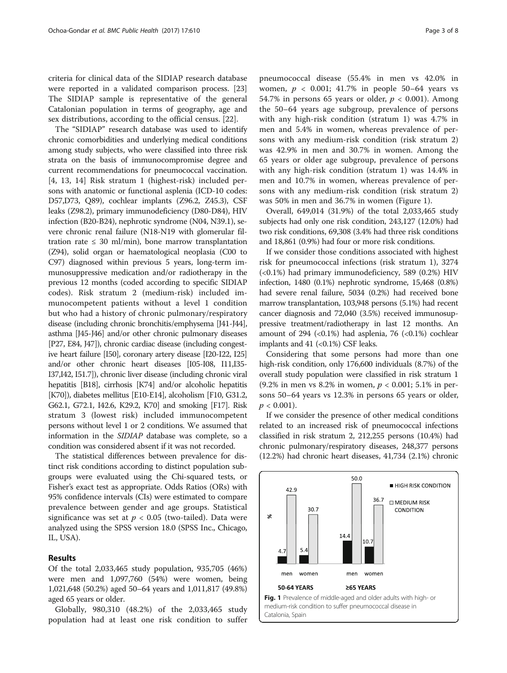criteria for clinical data of the SIDIAP research database were reported in a validated comparison process. [[23](#page-6-0)] The SIDIAP sample is representative of the general Catalonian population in terms of geography, age and sex distributions, according to the official census. [[22\]](#page-6-0).

The "SIDIAP" research database was used to identify chronic comorbidities and underlying medical conditions among study subjects, who were classified into three risk strata on the basis of immunocompromise degree and current recommendations for pneumococcal vaccination. [[4, 13, 14](#page-6-0)] Risk stratum 1 (highest-risk) included persons with anatomic or functional asplenia (ICD-10 codes: D57,D73, Q89), cochlear implants (Z96.2, Z45.3), CSF leaks (Z98.2), primary immunodeficiency (D80-D84), HIV infection (B20-B24), nephrotic syndrome (N04, N39.1), severe chronic renal failure (N18-N19 with glomerular filtration rate  $\leq 30$  ml/min), bone marrow transplantation (Z94), solid organ or haematological neoplasia (C00 to C97) diagnosed within previous 5 years, long-term immunosuppressive medication and/or radiotherapy in the previous 12 months (coded according to specific SIDIAP codes). Risk stratum 2 (medium-risk) included immunocompetent patients without a level 1 condition but who had a history of chronic pulmonary/respiratory disease (including chronic bronchitis/emphysema [J41-J44], asthma [J45-J46] and/or other chronic pulmonary diseases [P27, E84, J47]), chronic cardiac disease (including congestive heart failure [I50], coronary artery disease [I20-I22, I25] and/or other chronic heart diseases [I05-I08, I11,I35- I37,I42, I51.7]), chronic liver disease (including chronic viral hepatitis [B18], cirrhosis [K74] and/or alcoholic hepatitis [K70]), diabetes mellitus [E10-E14], alcoholism [F10, G31.2, G62.1, G72.1, I42.6, K29.2, K70] and smoking [F17]. Risk stratum 3 (lowest risk) included immunocompetent persons without level 1 or 2 conditions. We assumed that information in the SIDIAP database was complete, so a condition was considered absent if it was not recorded.

The statistical differences between prevalence for distinct risk conditions according to distinct population subgroups were evaluated using the Chi-squared tests, or Fisher's exact test as appropriate. Odds Ratios (ORs) with 95% confidence intervals (CIs) were estimated to compare prevalence between gender and age groups. Statistical significance was set at  $p < 0.05$  (two-tailed). Data were analyzed using the SPSS version 18.0 (SPSS Inc., Chicago, IL, USA).

## Results

Of the total 2,033,465 study population, 935,705 (46%) were men and 1,097,760 (54%) were women, being 1,021,648 (50.2%) aged 50–64 years and 1,011,817 (49.8%) aged 65 years or older.

Globally, 980,310 (48.2%) of the 2,033,465 study population had at least one risk condition to suffer women,  $p < 0.001$ ; 41.7% in people 50–64 years vs 54.7% in persons 65 years or older,  $p < 0.001$ ). Among the 50–64 years age subgroup, prevalence of persons with any high-risk condition (stratum 1) was 4.7% in men and 5.4% in women, whereas prevalence of persons with any medium-risk condition (risk stratum 2) was 42.9% in men and 30.7% in women. Among the 65 years or older age subgroup, prevalence of persons with any high-risk condition (stratum 1) was 14.4% in men and 10.7% in women, whereas prevalence of persons with any medium-risk condition (risk stratum 2) was 50% in men and 36.7% in women (Figure 1).

Overall, 649,014 (31.9%) of the total 2,033,465 study subjects had only one risk condition, 243,127 (12.0%) had two risk conditions, 69,308 (3.4% had three risk conditions and 18,861 (0.9%) had four or more risk conditions.

If we consider those conditions associated with highest risk for pneumococcal infections (risk stratum 1), 3274 (<0.1%) had primary immunodeficiency, 589 (0.2%) HIV infection, 1480 (0.1%) nephrotic syndrome, 15,468 (0.8%) had severe renal failure, 5034 (0.2%) had received bone marrow transplantation, 103,948 persons (5.1%) had recent cancer diagnosis and 72,040 (3.5%) received immunosuppressive treatment/radiotherapy in last 12 months. An amount of 294 (< $0.1\%$ ) had asplenia, 76 (< $0.1\%$ ) cochlear implants and 41 (<0.1%) CSF leaks.

Considering that some persons had more than one high-risk condition, only 176,600 individuals (8.7%) of the overall study population were classified in risk stratum 1 (9.2% in men vs 8.2% in women,  $p < 0.001$ ; 5.1% in persons 50–64 years vs 12.3% in persons 65 years or older,  $p < 0.001$ ).

If we consider the presence of other medical conditions related to an increased risk of pneumococcal infections classified in risk stratum 2, 212,255 persons (10.4%) had chronic pulmonary/respiratory diseases, 248,377 persons (12.2%) had chronic heart diseases, 41,734 (2.1%) chronic

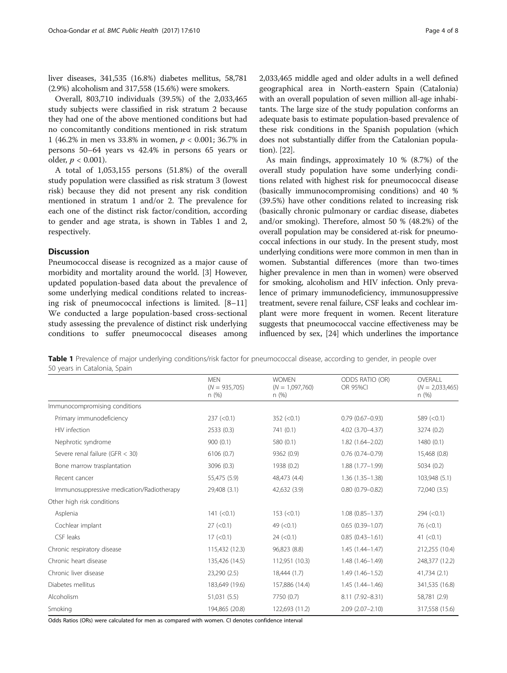liver diseases, 341,535 (16.8%) diabetes mellitus, 58,781 (2.9%) alcoholism and 317,558 (15.6%) were smokers.

Overall, 803,710 individuals (39.5%) of the 2,033,465 study subjects were classified in risk stratum 2 because they had one of the above mentioned conditions but had no concomitantly conditions mentioned in risk stratum 1 (46.2% in men vs 33.8% in women,  $p < 0.001$ ; 36.7% in persons 50–64 years vs 42.4% in persons 65 years or older,  $p < 0.001$ ).

A total of 1,053,155 persons (51.8%) of the overall study population were classified as risk stratum 3 (lowest risk) because they did not present any risk condition mentioned in stratum 1 and/or 2. The prevalence for each one of the distinct risk factor/condition, according to gender and age strata, is shown in Tables 1 and [2](#page-4-0), respectively.

# **Discussion**

Pneumococcal disease is recognized as a major cause of morbidity and mortality around the world. [[3\]](#page-6-0) However, updated population-based data about the prevalence of some underlying medical conditions related to increasing risk of pneumococcal infections is limited. [[8](#page-6-0)–[11](#page-6-0)] We conducted a large population-based cross-sectional study assessing the prevalence of distinct risk underlying conditions to suffer pneumococcal diseases among

2,033,465 middle aged and older adults in a well defined geographical area in North-eastern Spain (Catalonia) with an overall population of seven million all-age inhabitants. The large size of the study population conforms an adequate basis to estimate population-based prevalence of these risk conditions in the Spanish population (which does not substantially differ from the Catalonian population). [\[22](#page-6-0)].

As main findings, approximately 10 % (8.7%) of the overall study population have some underlying conditions related with highest risk for pneumococcal disease (basically immunocompromising conditions) and 40 % (39.5%) have other conditions related to increasing risk (basically chronic pulmonary or cardiac disease, diabetes and/or smoking). Therefore, almost 50 % (48.2%) of the overall population may be considered at-risk for pneumococcal infections in our study. In the present study, most underlying conditions were more common in men than in women. Substantial differences (more than two-times higher prevalence in men than in women) were observed for smoking, alcoholism and HIV infection. Only prevalence of primary immunodeficiency, immunosuppressive treatment, severe renal failure, CSF leaks and cochlear implant were more frequent in women. Recent literature suggests that pneumococcal vaccine effectiveness may be influenced by sex, [[24](#page-6-0)] which underlines the importance

Table 1 Prevalence of major underlying conditions/risk factor for pneumococcal disease, according to gender, in people over 50 years in Catalonia, Spain

|                                           | <b>MEN</b><br>$(N = 935,705)$<br>n(%) | <b>WOMEN</b><br>$(N = 1,097,760)$<br>n(%) | ODDS RATIO (OR)<br><b>OR 95%CI</b> | OVERALL<br>$(N = 2,033,465)$<br>n(%) |
|-------------------------------------------|---------------------------------------|-------------------------------------------|------------------------------------|--------------------------------------|
| Immunocompromising conditions             |                                       |                                           |                                    |                                      |
| Primary immunodeficiency                  | 237 (< 0.1)                           | 352 (< 0.1)                               | $0.79(0.67 - 0.93)$                | 589 $(< 0.1)$                        |
| HIV infection                             | 2533(0.3)                             | 741 (0.1)                                 | 4.02 (3.70-4.37)                   | 3274 (0.2)                           |
| Nephrotic syndrome                        | 900(0.1)                              | 580 (0.1)                                 | $1.82(1.64 - 2.02)$                | 1480(0.1)                            |
| Severe renal failure (GFR $<$ 30)         | 6106(0.7)                             | 9362 (0.9)                                | $0.76(0.74 - 0.79)$                | 15,468 (0.8)                         |
| Bone marrow trasplantation                | 3096 (0.3)                            | 1938 (0.2)                                | $1.88(1.77 - 1.99)$                | 5034 (0.2)                           |
| Recent cancer                             | 55,475 (5.9)                          | 48,473 (4.4)                              | $1.36(1.35 - 1.38)$                | 103,948 (5.1)                        |
| Immunosuppressive medication/Radiotherapy | 29,408 (3.1)                          | 42,632 (3.9)                              | $0.80(0.79 - 0.82)$                | 72,040 (3.5)                         |
| Other high risk conditions                |                                       |                                           |                                    |                                      |
| Asplenia                                  | 141 (< 0.1)                           | 153 (< 0.1)                               | $1.08(0.85 - 1.37)$                | 294 (< 0.1)                          |
| Cochlear implant                          | 27 (< 0.1)                            | 49 $(< 0.1)$                              | $0.65(0.39 - 1.07)$                | 76 (< 0.1)                           |
| CSF leaks                                 | 17 (< 0.1)                            | 24 (< 0.1)                                | $0.85(0.43 - 1.61)$                | 41 $(< 0.1)$                         |
| Chronic respiratory disease               | 115,432 (12.3)                        | 96,823 (8.8)                              | $1.45(1.44 - 1.47)$                | 212,255 (10.4)                       |
| Chronic heart disease                     | 135,426 (14.5)                        | 112,951 (10.3)                            | 1.48 (1.46-1.49)                   | 248,377 (12.2)                       |
| Chronic liver disease                     | 23,290 (2.5)                          | 18,444 (1.7)                              | $1.49(1.46 - 1.52)$                | 41,734 (2.1)                         |
| Diabetes mellitus                         | 183,649 (19.6)                        | 157,886 (14.4)                            | $1.45(1.44 - 1.46)$                | 341,535 (16.8)                       |
| Alcoholism                                | 51,031 (5.5)                          | 7750 (0.7)                                | 8.11 (7.92-8.31)                   | 58,781 (2.9)                         |
| Smoking                                   | 194,865 (20.8)                        | 122,693 (11.2)                            | $2.09(2.07 - 2.10)$                | 317,558 (15.6)                       |

Odds Ratios (ORs) were calculated for men as compared with women. CI denotes confidence interval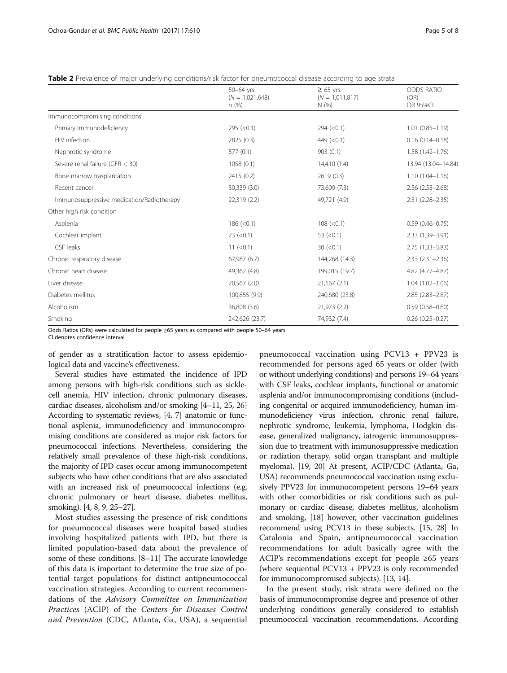<span id="page-4-0"></span>

|  | Table 2 Prevalence of maior underlying conditions/risk factor for pneumococcal disease according to age strata |  |
|--|----------------------------------------------------------------------------------------------------------------|--|
|  |                                                                                                                |  |

|                                           | 50-64 yrs.<br>$(N = 1,021,648)$<br>n(%) | $\geq 65$ yrs.<br>$(N = 1.011, 817)$<br>N(%) | <b>ODDS RATIO</b><br>(OR) |
|-------------------------------------------|-----------------------------------------|----------------------------------------------|---------------------------|
|                                           |                                         |                                              | <b>OR 95%CI</b>           |
| Immunocompromising conditions             |                                         |                                              |                           |
| Primary immunodeficiency                  | 295 (< 0.1)                             | 294 (< 0.1)                                  | $1.01(0.85 - 1.19)$       |
| HIV infection                             | 2825 (0.3)                              | 449 $(< 0.1)$                                | $0.16(0.14 - 0.18)$       |
| Nephrotic syndrome                        | 577(0.1)                                | 903(0.1)                                     | $1.58(1.42 - 1.76)$       |
| Severe renal failure (GFR $<$ 30)         | 1058(0.1)                               | 14,410 (1.4)                                 | 13.94 (13.04-14.84)       |
| Bone marrow trasplantation                | 2415 (0.2)                              | 2619(0.3)                                    | $1.10(1.04 - 1.16)$       |
| Recent cancer                             | 30,339 (3.0)                            | 73,609 (7.3)                                 | $2.56(2.53 - 2.68)$       |
| Immunosuppressive medication/Radiotherapy | 22,319 (2.2)                            | 49,721 (4.9)                                 | $2.31(2.28 - 2.35)$       |
| Other high risk condition                 |                                         |                                              |                           |
| Asplenia                                  | 186 (< 0.1)                             | 108 (< 0.1)                                  | $0.59(0.46 - 0.75)$       |
| Cochlear implant                          | $23$ (< 0.1)                            | 53 $(< 0.1)$                                 | 2.33 (1.39-3.91)          |
| CSF leaks                                 | 11 (< 0.1)                              | 30 (< 0.1)                                   | $2.75(1.33 - 5.83)$       |
| Chronic respiratory disease               | 67,987(6.7)                             | 144,268 (14.3)                               | $2.33(2.31 - 2.36)$       |
| Chronic heart disease                     | 49,362 (4.8)                            | 199,015 (19.7)                               | 4.82 (4.77-4.87)          |
| Liver disease                             | 20,567 (2.0)                            | 21,167(2.1)                                  | $1.04(1.02 - 1.06)$       |
| Diabetes mellitus                         | 100,855 (9.9)                           | 240,680 (23.8)                               | $2.85(2.83 - 2.87)$       |
| Alcoholism                                | 36,808 (3.6)                            | 21,973 (2.2)                                 | $0.59(0.58 - 0.60)$       |
| Smoking                                   | 242,626 (23.7)                          | 74,932 (7.4)                                 | $0.26(0.25 - 0.27)$       |

Odds Ratios (ORs) were calculated for people ≥65 years as compared with people 50–64 years

CI denotes confidence interval

of gender as a stratification factor to assess epidemiological data and vaccine's effectiveness.

Several studies have estimated the incidence of IPD among persons with high-risk conditions such as sicklecell anemia, HIV infection, chronic pulmonary diseases, cardiac diseases, alcoholism and/or smoking [\[4](#page-6-0)–[11](#page-6-0), [25, 26](#page-7-0)] According to systematic reviews, [[4](#page-6-0), [7\]](#page-6-0) anatomic or functional asplenia, immunodeficiency and immunocompromising conditions are considered as major risk factors for pneumococcal infections. Nevertheless, considering the relatively small prevalence of these high-risk conditions, the majority of IPD cases occur among immunocompetent subjects who have other conditions that are also associated with an increased risk of pneumococcal infections (e.g. chronic pulmonary or heart disease, diabetes mellitus, smoking). [\[4, 8](#page-6-0), [9,](#page-6-0) [25](#page-7-0)–[27](#page-7-0)].

Most studies assessing the presence of risk conditions for pneumococcal diseases were hospital based studies involving hospitalized patients with IPD, but there is limited population-based data about the prevalence of some of these conditions. [[8](#page-6-0)–[11\]](#page-6-0) The accurate knowledge of this data is important to determine the true size of potential target populations for distinct antipneumococcal vaccination strategies. According to current recommendations of the Advisory Committee on Immunization Practices (ACIP) of the Centers for Diseases Control and Prevention (CDC, Atlanta, Ga, USA), a sequential

pneumococcal vaccination using PCV13 + PPV23 is recommended for persons aged 65 years or older (with or without underlying conditions) and persons 19–64 years with CSF leaks, cochlear implants, functional or anatomic asplenia and/or immunocompromising conditions (including congenital or acquired immunodeficiency, human immunodeficiency virus infection, chronic renal failure, nephrotic syndrome, leukemia, lymphoma, Hodgkin disease, generalized malignancy, iatrogenic immunosuppression due to treatment with immunosuppressive medication or radiation therapy, solid organ transplant and multiple myeloma). [\[19, 20\]](#page-6-0) At present, ACIP/CDC (Atlanta, Ga, USA) recommends pneumococcal vaccination using exclusively PPV23 for immunocompetent persons 19–64 years with other comorbidities or risk conditions such as pulmonary or cardiac disease, diabetes mellitus, alcoholism and smoking, [\[18\]](#page-6-0) however, other vaccination guidelines recommend using PCV13 in these subjects. [\[15,](#page-6-0) [28](#page-7-0)] In Catalonia and Spain, antipneumococcal vaccination recommendations for adult basically agree with the ACIP's recommendations except for people ≥65 years (where sequential PCV13 + PPV23 is only recommended for immunocompromised subjects). [\[13, 14](#page-6-0)].

In the present study, risk strata were defined on the basis of immunocompromise degree and presence of other underlying conditions generally considered to establish pneumococcal vaccination recommendations. According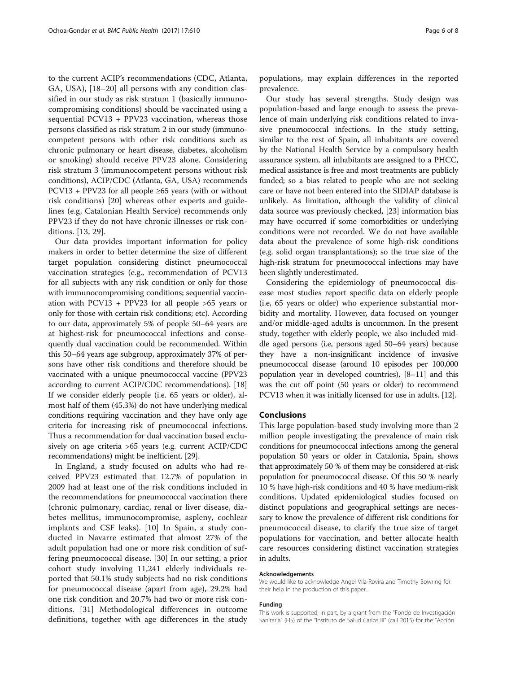to the current ACIP's recommendations (CDC, Atlanta, GA, USA), [\[18](#page-6-0)–[20](#page-6-0)] all persons with any condition classified in our study as risk stratum 1 (basically immunocompromising conditions) should be vaccinated using a sequential PCV13 + PPV23 vaccination, whereas those persons classified as risk stratum 2 in our study (immunocompetent persons with other risk conditions such as chronic pulmonary or heart disease, diabetes, alcoholism or smoking) should receive PPV23 alone. Considering risk stratum 3 (immunocompetent persons without risk conditions), ACIP/CDC (Atlanta, GA, USA) recommends  $PCV13 + PPV23$  for all people ≥65 years (with or without risk conditions) [[20](#page-6-0)] whereas other experts and guidelines (e.g, Catalonian Health Service) recommends only PPV23 if they do not have chronic illnesses or risk conditions. [[13,](#page-6-0) [29\]](#page-7-0).

Our data provides important information for policy makers in order to better determine the size of different target population considering distinct pneumococcal vaccination strategies (e.g., recommendation of PCV13 for all subjects with any risk condition or only for those with immunocompromising conditions; sequential vaccination with PCV13 + PPV23 for all people >65 years or only for those with certain risk conditions; etc). According to our data, approximately 5% of people 50–64 years are at highest-risk for pneumococcal infections and consequently dual vaccination could be recommended. Within this 50–64 years age subgroup, approximately 37% of persons have other risk conditions and therefore should be vaccinated with a unique pneumococcal vaccine (PPV23 according to current ACIP/CDC recommendations). [[18](#page-6-0)] If we consider elderly people (i.e. 65 years or older), almost half of them (45.3%) do not have underlying medical conditions requiring vaccination and they have only age criteria for increasing risk of pneumococcal infections. Thus a recommendation for dual vaccination based exclusively on age criteria >65 years (e.g. current ACIP/CDC recommendations) might be inefficient. [\[29\]](#page-7-0).

In England, a study focused on adults who had received PPV23 estimated that 12.7% of population in 2009 had at least one of the risk conditions included in the recommendations for pneumococcal vaccination there (chronic pulmonary, cardiac, renal or liver disease, diabetes mellitus, immunocompromise, aspleny, cochlear implants and CSF leaks). [[10\]](#page-6-0) In Spain, a study conducted in Navarre estimated that almost 27% of the adult population had one or more risk condition of suffering pneumococcal disease. [\[30](#page-7-0)] In our setting, a prior cohort study involving 11,241 elderly individuals reported that 50.1% study subjects had no risk conditions for pneumococcal disease (apart from age), 29.2% had one risk condition and 20.7% had two or more risk conditions. [[31](#page-7-0)] Methodological differences in outcome definitions, together with age differences in the study

populations, may explain differences in the reported prevalence.

Our study has several strengths. Study design was population-based and large enough to assess the prevalence of main underlying risk conditions related to invasive pneumococcal infections. In the study setting, similar to the rest of Spain, all inhabitants are covered by the National Health Service by a compulsory health assurance system, all inhabitants are assigned to a PHCC, medical assistance is free and most treatments are publicly funded; so a bias related to people who are not seeking care or have not been entered into the SIDIAP database is unlikely. As limitation, although the validity of clinical data source was previously checked, [\[23](#page-6-0)] information bias may have occurred if some comorbidities or underlying conditions were not recorded. We do not have available data about the prevalence of some high-risk conditions (e.g. solid organ transplantations); so the true size of the high-risk stratum for pneumococcal infections may have been slightly underestimated.

Considering the epidemiology of pneumococcal disease most studies report specific data on elderly people (i.e, 65 years or older) who experience substantial morbidity and mortality. However, data focused on younger and/or middle-aged adults is uncommon. In the present study, together with elderly people, we also included middle aged persons (i.e, persons aged 50–64 years) because they have a non-insignificant incidence of invasive pneumococcal disease (around 10 episodes per 100,000 population year in developed countries), [[8](#page-6-0)–[11\]](#page-6-0) and this was the cut off point (50 years or older) to recommend PCV13 when it was initially licensed for use in adults. [\[12\]](#page-6-0).

#### Conclusions

This large population-based study involving more than 2 million people investigating the prevalence of main risk conditions for pneumococcal infections among the general population 50 years or older in Catalonia, Spain, shows that approximately 50 % of them may be considered at-risk population for pneumococcal disease. Of this 50 % nearly 10 % have high-risk conditions and 40 % have medium-risk conditions. Updated epidemiological studies focused on distinct populations and geographical settings are necessary to know the prevalence of different risk conditions for pneumococcal disease, to clarify the true size of target populations for vaccination, and better allocate health care resources considering distinct vaccination strategies in adults.

#### Acknowledgements

We would like to acknowledge Angel Vila-Rovira and Timothy Bowring for their help in the production of this paper.

#### Funding

This work is supported, in part, by a grant from the "Fondo de Investigación Sanitaria" (FIS) of the "Instituto de Salud Carlos III" (call 2015) for the "Acción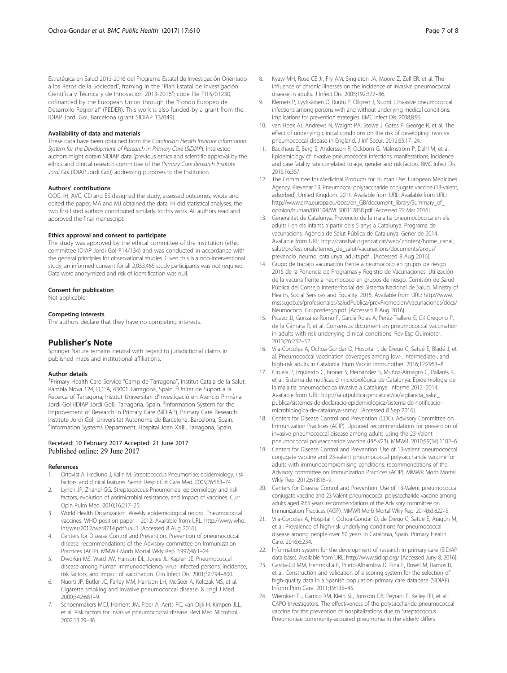<span id="page-6-0"></span>Estratégica en Salud 2013-2016 del Programa Estatal de Investigación Orientado a los Retos de la Sociedad", framing in the "Plan Estatal de Investigación Científica y Técnica y de Innovación 2013-2016"; code file PI15/01230, cofinanced by the European Union through the "Fondo Europeo de Desarrollo Regional" (FEDER). This work is also funded by a grant from the IDIAP Jordi Gol, Barcelona (grant SIDIAP 13/049).

#### Availability of data and materials

These data have been obtained from the Catalonian Health Institute Information System for the Development of Research in Primary Care (SIDIAP). Interested authors might obtain SIDIAP data (previous ethics and scientific approval by the ethics and clinical research committee of the Primary Care Research Institute Jordi Gol (IDIAP Jordi Gol)) addressing purposes to the Institution.

#### Authors' contributions

OOG, IH, AVC, CD and ES designed the study, assessed outcomes, wrote and edited the paper; MA and MJ obtained the data; IH did statistical analyses; the two first listed authors contributed similarly to this work. All authors read and approved the final manuscript.

#### Ethics approval and consent to participate

The study was approved by the ethical committee of the Institution (ethic committee IDIAP Jordi Gol P14/134) and was conducted in accordance with the general principles for observational studies. Given this is a non-interventional study, an informed consent for all 2,033,465 study participants was not required. Data were anonymized and risk of identification was null.

#### Consent for publication

Not applicable.

#### Competing interests

The authors declare that they have no competing interests.

## Publisher's Note

Springer Nature remains neutral with regard to jurisdictional claims in published maps and institutional affiliations.

#### Author details

<sup>1</sup> Primary Health Care Service "Camp de Tarragona", Institut Catala de la Salut, Rambla Nova 124, D,1°A, 43001 Tarragona, Spain. <sup>2</sup>Unitat de Suport a la Recerca of Tarragona, Institut Universitari d'Investigació en Atenció Primària Jordi Gol (IDIAP Jordi Gol), Tarragona, Spain. <sup>3</sup>Information System for the Improvement of Research in Primary Care (SIDIAP), Primary Care Research Institute Jordi Gol, Universitat Autonoma de Barcelona, Barcelona, Spain. 4 Information Systems Department, Hospital Joan XXIII, Tarragona, Spain.

# Received: 10 February 2017 Accepted: 21 June 2017

#### References

- 1. Ortqvist A, Hedlund J, Kalin M. Streptococcus Pneumoniae: epidemiology, risk factors, and clinical features. Semin Respir Crit Care Med. 2005;26:563–74.
- 2. Lynch JP, Zhanel GG. Streptococcus Pneumoniae: epidemiology and risk factors, evolution of antimicrobial resistance, and impact of vaccines. Curr Opin Pulm Med. 2010;16:217–25.
- 3. World Health Organization. Weekly epidemiological record. Pneumococcal vaccines. WHO position paper – 2012. Available from URL: [http://www.who.](http://www.who.int/wer/2012/wer8714.pdf?ua=1) [int/wer/2012/wer8714.pdf?ua=1](http://www.who.int/wer/2012/wer8714.pdf?ua=1) [Accessed 8 Aug 2016].
- 4. Centers for Disease Control and Prevention. Prevention of pneumococcal disease: recommendations of the Advisory committee on Immunization Practices (ACIP). MMWR Morb Mortal Wkly Rep. 1997;46:1–24.
- 5. Dworkin MS, Ward JW, Hanson DL, Jones JL, Kaplan JE. Pneumococcal disease among human immunodeficiency virus–infected persons: incidence, risk factors, and impact of vaccination. Clin Infect Dis. 2001;32:794–800.
- 6. Nuorti JP, Butler JC, Farley MM, Harrison LH, McGeer A, Kolczak MS, et al. Cigarette smoking and invasive pneumococcal disease. N Engl J Med. 2000;342:681–9.
- 7. Schoenmakers MCJ, Hament JM, Fleer A, Aerts PC, van Dijk H, Kimpen JLL, et al. Risk factors for invasive pneumococcal disease. Revi Med Microbiol. 2002;13:29–36.
- 8. Kyaw MH, Rose CE Jr, Fry AM, Singleton JA, Moore Z, Zell ER, et al. The influence of chronic illnesses on the incidence of invasive pneumococcal disease in adults. J Infect Dis. 2005;192:377–86.
- Klemets P, Lyytikäinen O, Ruutu P, Ollgren J, Nuorti J. Invasive pneumococcal infections among persons with and without underlying medical conditions: implications for prevention strategies. BMC Infect Dis. 2008;8:96.
- 10. van Hoek AJ, Andrews N, Waight PA, Stowe J, Gates P, George R, et al. The effect of underlying clinical conditions on the risk of developing invasive pneumococcal disease in England. J Inf Secur. 2012;65:17–24.
- 11. Backhaus E, Berg S, Andersson R, Ockborn G, Malmström P, Dahl M, et al. Epidemiology of invasive pneumococcal infections: manifestations, incidence and case fatality rate correlated to age, gender and risk factors. BMC Infect Dis. 2016;16:367.
- 12. The Committee for Medicinal Products for Human Use. European Medicines Agency. Prevenar 13. Pneumoccal polysaccharide conjugate vaccine (13-valent, adsorbed). United Kingdom. 2011. Available from URL: Available from URL: [http://www.ema.europa.eu/docs/en\\_GB/document\\_library/Summary\\_of\\_](http://www.ema.europa.eu/docs/en_GB/document_library/Summary_of_opinion/human/001104/WC500112838.pdf) [opinion/human/001104/WC500112838.pdf](http://www.ema.europa.eu/docs/en_GB/document_library/Summary_of_opinion/human/001104/WC500112838.pdf) [Accessed 22 Mar 2016].
- 13. Generalitat de Catalunya. Prevenció de la malaltia pneumocòccica en els adults i en els infants a partir dels 5 anys a Catalunya. Programa de vacunacions. Agència de Salut Pública de Catalunya. Gener de 2014. Available from URL: [http://canalsalut.gencat.cat/web/.content/home\\_canal\\_](http://canalsalut.gencat.cat/web/.content/home_canal_salut/professionals/temes_de_salut/vacunacions/documents/arxius/prevencio_neumo_catalunya_adults.pdf) [salut/professionals/temes\\_de\\_salut/vacunacions/documents/arxius/](http://canalsalut.gencat.cat/web/.content/home_canal_salut/professionals/temes_de_salut/vacunacions/documents/arxius/prevencio_neumo_catalunya_adults.pdf) [prevencio\\_neumo\\_catalunya\\_adults.pdf](http://canalsalut.gencat.cat/web/.content/home_canal_salut/professionals/temes_de_salut/vacunacions/documents/arxius/prevencio_neumo_catalunya_adults.pdf) . [Accessed 8 Aug 2016].
- 14. Grupo de trabajo vacunación frente a neumococo en grupos de riesgo 2015 de la Ponencia de Programas y Registro de Vacunaciones. Utilización de la vacuna frente a neumococo en grupos de riesgo. Comisión de Salud Pública del Consejo Interterritorial del Sistema Nacional de Salud. Ministry of Health, Social Services and Equality. 2015. Available from URL: [http://www.](http://www.msssi.gob.es/profesionales/saludPublica/prevPromocion/vacunaciones/docs/Neumococo_Gruposriesgo.pdf) [msssi.gob.es/profesionales/saludPublica/prevPromocion/vacunaciones/docs/](http://www.msssi.gob.es/profesionales/saludPublica/prevPromocion/vacunaciones/docs/Neumococo_Gruposriesgo.pdf) [Neumococo\\_Gruposriesgo.pdf.](http://www.msssi.gob.es/profesionales/saludPublica/prevPromocion/vacunaciones/docs/Neumococo_Gruposriesgo.pdf) [Accessed 8 Aug 2016].
- 15. Picazo JJ, González-Romo F, García Rojas A, Peréz-Trallero E, Gil Gregorio P, de la Cámara R, et al. Consensus document on pneumococcal vaccination in adults with risk underlying clinical conditions. Rev Esp Quimioter. 2013;26:232–52.
- 16. Vila-Corcoles A, Ochoa-Gondar O, Hospital I, de Diego C, Satué E, Bladé J, et al. Pneumococcal vaccination coverages among low-, intermediate-, and high-risk adults in Catalonia. Hum Vaccin Immunother. 2016;12:2953–8.
- 17. Ciruela P, Izquierdo C, Broner S, Hernández S, Muñoz-Almagro C, Pallarés R, et al. Sistema de notificació microbiològica de Catalunya. Epidemiologia de la malaltia pneumocòccica invasiva a Catalunya. Informe 2012–2014. Available from URL: [http://salutpublica.gencat.cat/ca/vigilancia\\_salut\\_](http://salutpublica.gencat.cat/ca/vigilancia_salut_publica/sistemes-de-declaracio-epidemiologica/sistema-de-notificacio-microbiologica-de-catalunya-snmc/) [publica/sistemes-de-declaracio-epidemiologica/sistema-de-notificacio](http://salutpublica.gencat.cat/ca/vigilancia_salut_publica/sistemes-de-declaracio-epidemiologica/sistema-de-notificacio-microbiologica-de-catalunya-snmc/)[microbiologica-de-catalunya-snmc/](http://salutpublica.gencat.cat/ca/vigilancia_salut_publica/sistemes-de-declaracio-epidemiologica/sistema-de-notificacio-microbiologica-de-catalunya-snmc/). [Accessed 8 Sep 2016].
- 18. Centers for Disease Control and Prevention (CDC). Advisory Committee on Immunization Practices (ACIP). Updated recommendations for prevention of invasive pneumococcal disease among adults using the 23-Valent pneumococcal polysaccharide vaccine (PPSV23). MMWR. 2010;59(34):1102–6.
- 19. Centers for Disease Control and Prevention. Use of 13-valent pneumococcal conjugate vaccine and 23-valent pneumococcal polysaccharide vaccine for adults with immunocompromising conditions: recommendations of the Advisory committee on Immunization Practices (ACIP). MMWR Morb Mortal Wkly Rep. 2012;61:816–9.
- 20. Centers for Disease Control and Prevention. Use of 13-Valent pneumococcal conjugate vaccine and 23-Valent pneumococcal polysaccharide vaccine among adults aged ≥65 years: recommendations of the Advisory committee on Immunization Practices (ACIP). MMWR Morb Mortal Wkly Rep. 2014;63:822–5.
- 21. Vila-Corcoles A, Hospital I, Ochoa-Gondar O, de Diego C, Satue E, Aragón M, et al. Prevalence of high-risk underlying conditions for pneumococcal disease among people over 50 years in Catalonia, Spain. Primary Health Care. 2016;6:234.
- 22. Information system for the development of research in primary care (SIDIAP data base). Available from URL:<http://www.sidiap.org/> [Accessed Juny 8, 2016].
- 23. García-Gil MM, Hermosilla E, Prieto-Alhambra D, Fina F, Rosell M, Ramos R, et al. Construction and validation of a scoring system for the selection of high-quality data in a Spanish population primary care database (SIDIAP). Inform Prim Care. 2011;19:135–45.
- 24. Wiemken TL, Carrico RM, Klein SL, Jonsson CB, Peyrani P, Kelley RR, et al., CAPO Investigators. The effectiveness of the polysaccharide pneumococcal vaccine for the prevention of hospitalizations due to Streptococcus Pneumoniae community-acquired pneumonia in the elderly differs